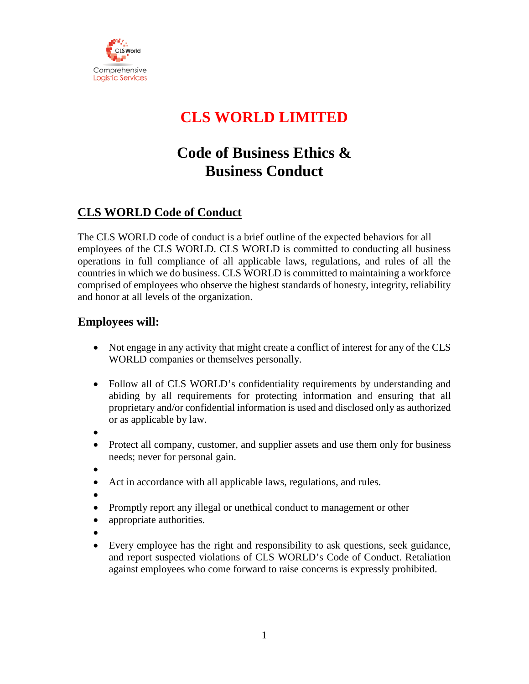

# **CLS WORLD LIMITED**

# **Code of Business Ethics & Business Conduct**

# **CLS WORLD Code of Conduct**

The CLS WORLD code of conduct is a brief outline of the expected behaviors for all employees of the CLS WORLD. CLS WORLD is committed to conducting all business operations in full compliance of all applicable laws, regulations, and rules of all the countries in which we do business. CLS WORLD is committed to maintaining a workforce comprised of employees who observe the highest standards of honesty, integrity, reliability and honor at all levels of the organization.

### **Employees will:**

- Not engage in any activity that might create a conflict of interest for any of the CLS WORLD companies or themselves personally.
- Follow all of CLS WORLD's confidentiality requirements by understanding and abiding by all requirements for protecting information and ensuring that all proprietary and/or confidential information is used and disclosed only as authorized or as applicable by law.
- •
- Protect all company, customer, and supplier assets and use them only for business needs; never for personal gain.
- •
- Act in accordance with all applicable laws, regulations, and rules.
- •
- Promptly report any illegal or unethical conduct to management or other
- appropriate authorities.
- •
- Every employee has the right and responsibility to ask questions, seek guidance, and report suspected violations of CLS WORLD's Code of Conduct. Retaliation against employees who come forward to raise concerns is expressly prohibited.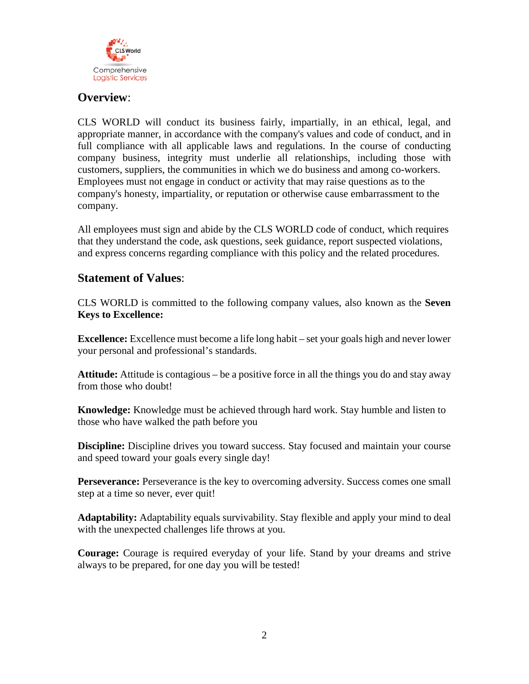

#### **Overview**:

CLS WORLD will conduct its business fairly, impartially, in an ethical, legal, and appropriate manner, in accordance with the company's values and code of conduct, and in full compliance with all applicable laws and regulations. In the course of conducting company business, integrity must underlie all relationships, including those with customers, suppliers, the communities in which we do business and among co-workers. Employees must not engage in conduct or activity that may raise questions as to the company's honesty, impartiality, or reputation or otherwise cause embarrassment to the company.

All employees must sign and abide by the CLS WORLD code of conduct, which requires that they understand the code, ask questions, seek guidance, report suspected violations, and express concerns regarding compliance with this policy and the related procedures.

#### **Statement of Values**:

CLS WORLD is committed to the following company values, also known as the **Seven Keys to Excellence:**

**Excellence:** Excellence must become a life long habit – set your goals high and never lower your personal and professional's standards.

**Attitude:** Attitude is contagious – be a positive force in all the things you do and stay away from those who doubt!

**Knowledge:** Knowledge must be achieved through hard work. Stay humble and listen to those who have walked the path before you

**Discipline:** Discipline drives you toward success. Stay focused and maintain your course and speed toward your goals every single day!

**Perseverance:** Perseverance is the key to overcoming adversity. Success comes one small step at a time so never, ever quit!

**Adaptability:** Adaptability equals survivability. Stay flexible and apply your mind to deal with the unexpected challenges life throws at you.

**Courage:** Courage is required everyday of your life. Stand by your dreams and strive always to be prepared, for one day you will be tested!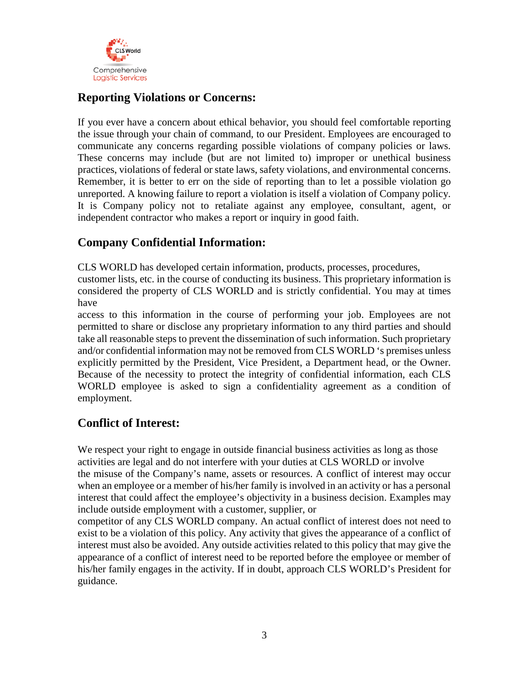

## **Reporting Violations or Concerns:**

If you ever have a concern about ethical behavior, you should feel comfortable reporting the issue through your chain of command, to our President. Employees are encouraged to communicate any concerns regarding possible violations of company policies or laws. These concerns may include (but are not limited to) improper or unethical business practices, violations of federal or state laws, safety violations, and environmental concerns. Remember, it is better to err on the side of reporting than to let a possible violation go unreported. A knowing failure to report a violation is itself a violation of Company policy. It is Company policy not to retaliate against any employee, consultant, agent, or independent contractor who makes a report or inquiry in good faith.

### **Company Confidential Information:**

CLS WORLD has developed certain information, products, processes, procedures,

customer lists, etc. in the course of conducting its business. This proprietary information is considered the property of CLS WORLD and is strictly confidential. You may at times have

access to this information in the course of performing your job. Employees are not permitted to share or disclose any proprietary information to any third parties and should take all reasonable steps to prevent the dissemination of such information. Such proprietary and/or confidential information may not be removed from CLS WORLD 's premises unless explicitly permitted by the President, Vice President, a Department head, or the Owner. Because of the necessity to protect the integrity of confidential information, each CLS WORLD employee is asked to sign a confidentiality agreement as a condition of employment.

# **Conflict of Interest:**

We respect your right to engage in outside financial business activities as long as those activities are legal and do not interfere with your duties at CLS WORLD or involve the misuse of the Company's name, assets or resources. A conflict of interest may occur when an employee or a member of his/her family is involved in an activity or has a personal interest that could affect the employee's objectivity in a business decision. Examples may include outside employment with a customer, supplier, or

competitor of any CLS WORLD company. An actual conflict of interest does not need to exist to be a violation of this policy. Any activity that gives the appearance of a conflict of interest must also be avoided. Any outside activities related to this policy that may give the appearance of a conflict of interest need to be reported before the employee or member of his/her family engages in the activity. If in doubt, approach CLS WORLD's President for guidance.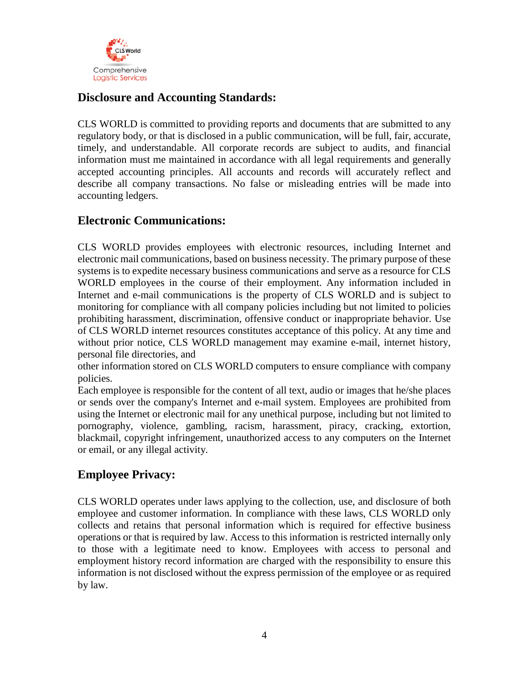

## **Disclosure and Accounting Standards:**

CLS WORLD is committed to providing reports and documents that are submitted to any regulatory body, or that is disclosed in a public communication, will be full, fair, accurate, timely, and understandable. All corporate records are subject to audits, and financial information must me maintained in accordance with all legal requirements and generally accepted accounting principles. All accounts and records will accurately reflect and describe all company transactions. No false or misleading entries will be made into accounting ledgers.

### **Electronic Communications:**

CLS WORLD provides employees with electronic resources, including Internet and electronic mail communications, based on business necessity. The primary purpose of these systems is to expedite necessary business communications and serve as a resource for CLS WORLD employees in the course of their employment. Any information included in Internet and e-mail communications is the property of CLS WORLD and is subject to monitoring for compliance with all company policies including but not limited to policies prohibiting harassment, discrimination, offensive conduct or inappropriate behavior. Use of CLS WORLD internet resources constitutes acceptance of this policy. At any time and without prior notice, CLS WORLD management may examine e-mail, internet history, personal file directories, and

other information stored on CLS WORLD computers to ensure compliance with company policies.

Each employee is responsible for the content of all text, audio or images that he/she places or sends over the company's Internet and e-mail system. Employees are prohibited from using the Internet or electronic mail for any unethical purpose, including but not limited to pornography, violence, gambling, racism, harassment, piracy, cracking, extortion, blackmail, copyright infringement, unauthorized access to any computers on the Internet or email, or any illegal activity.

### **Employee Privacy:**

CLS WORLD operates under laws applying to the collection, use, and disclosure of both employee and customer information. In compliance with these laws, CLS WORLD only collects and retains that personal information which is required for effective business operations or that is required by law. Access to this information is restricted internally only to those with a legitimate need to know. Employees with access to personal and employment history record information are charged with the responsibility to ensure this information is not disclosed without the express permission of the employee or as required by law.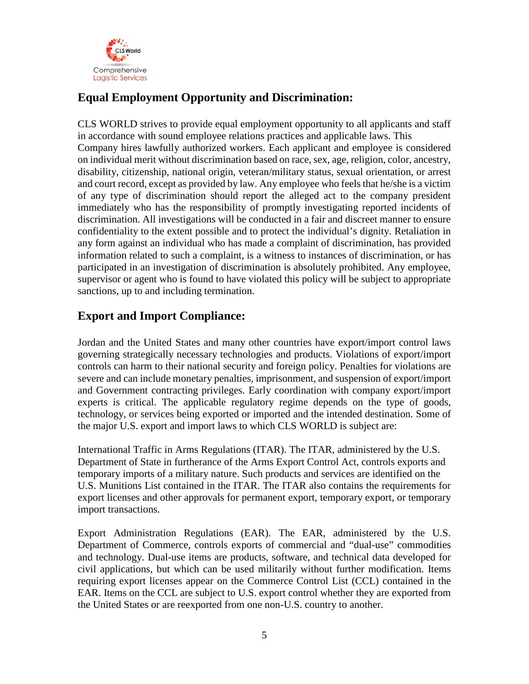

# **Equal Employment Opportunity and Discrimination:**

CLS WORLD strives to provide equal employment opportunity to all applicants and staff in accordance with sound employee relations practices and applicable laws. This Company hires lawfully authorized workers. Each applicant and employee is considered on individual merit without discrimination based on race, sex, age, religion, color, ancestry, disability, citizenship, national origin, veteran/military status, sexual orientation, or arrest and court record, except as provided by law. Any employee who feels that he/she is a victim of any type of discrimination should report the alleged act to the company president immediately who has the responsibility of promptly investigating reported incidents of discrimination. All investigations will be conducted in a fair and discreet manner to ensure confidentiality to the extent possible and to protect the individual's dignity. Retaliation in any form against an individual who has made a complaint of discrimination, has provided information related to such a complaint, is a witness to instances of discrimination, or has participated in an investigation of discrimination is absolutely prohibited. Any employee, supervisor or agent who is found to have violated this policy will be subject to appropriate sanctions, up to and including termination.

### **Export and Import Compliance:**

Jordan and the United States and many other countries have export/import control laws governing strategically necessary technologies and products. Violations of export/import controls can harm to their national security and foreign policy. Penalties for violations are severe and can include monetary penalties, imprisonment, and suspension of export/import and Government contracting privileges. Early coordination with company export/import experts is critical. The applicable regulatory regime depends on the type of goods, technology, or services being exported or imported and the intended destination. Some of the major U.S. export and import laws to which CLS WORLD is subject are:

International Traffic in Arms Regulations (ITAR). The ITAR, administered by the U.S. Department of State in furtherance of the Arms Export Control Act, controls exports and temporary imports of a military nature. Such products and services are identified on the U.S. Munitions List contained in the ITAR. The ITAR also contains the requirements for export licenses and other approvals for permanent export, temporary export, or temporary import transactions.

Export Administration Regulations (EAR). The EAR, administered by the U.S. Department of Commerce, controls exports of commercial and "dual-use" commodities and technology. Dual-use items are products, software, and technical data developed for civil applications, but which can be used militarily without further modification. Items requiring export licenses appear on the Commerce Control List (CCL) contained in the EAR. Items on the CCL are subject to U.S. export control whether they are exported from the United States or are reexported from one non-U.S. country to another.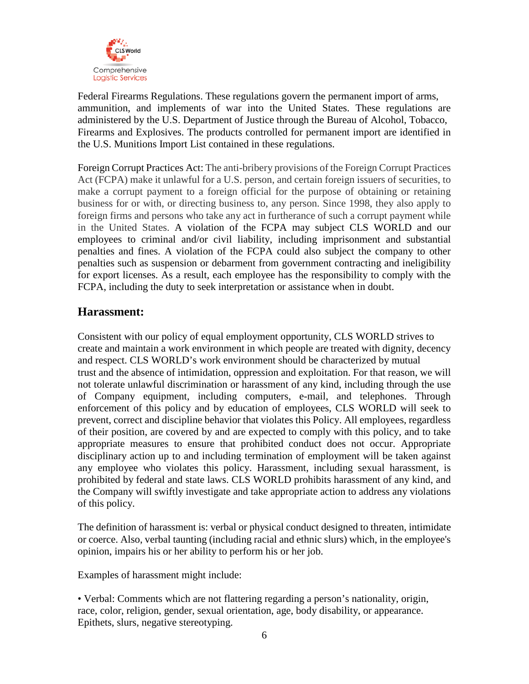

Federal Firearms Regulations. These regulations govern the permanent import of arms, ammunition, and implements of war into the United States. These regulations are administered by the U.S. Department of Justice through the Bureau of Alcohol, Tobacco, Firearms and Explosives. The products controlled for permanent import are identified in the U.S. Munitions Import List contained in these regulations.

Foreign Corrupt Practices Act: The anti-bribery provisions of the Foreign Corrupt Practices Act (FCPA) make it unlawful for a U.S. person, and certain foreign issuers of securities, to make a corrupt payment to a foreign official for the purpose of obtaining or retaining business for or with, or directing business to, any person. Since 1998, they also apply to foreign firms and persons who take any act in furtherance of such a corrupt payment while in the United States. A violation of the FCPA may subject CLS WORLD and our employees to criminal and/or civil liability, including imprisonment and substantial penalties and fines. A violation of the FCPA could also subject the company to other penalties such as suspension or debarment from government contracting and ineligibility for export licenses. As a result, each employee has the responsibility to comply with the FCPA, including the duty to seek interpretation or assistance when in doubt.

### **Harassment:**

Consistent with our policy of equal employment opportunity, CLS WORLD strives to create and maintain a work environment in which people are treated with dignity, decency and respect. CLS WORLD's work environment should be characterized by mutual trust and the absence of intimidation, oppression and exploitation. For that reason, we will not tolerate unlawful discrimination or harassment of any kind, including through the use of Company equipment, including computers, e-mail, and telephones. Through enforcement of this policy and by education of employees, CLS WORLD will seek to prevent, correct and discipline behavior that violates this Policy. All employees, regardless of their position, are covered by and are expected to comply with this policy, and to take appropriate measures to ensure that prohibited conduct does not occur. Appropriate disciplinary action up to and including termination of employment will be taken against any employee who violates this policy. Harassment, including sexual harassment, is prohibited by federal and state laws. CLS WORLD prohibits harassment of any kind, and the Company will swiftly investigate and take appropriate action to address any violations of this policy.

The definition of harassment is: verbal or physical conduct designed to threaten, intimidate or coerce. Also, verbal taunting (including racial and ethnic slurs) which, in the employee's opinion, impairs his or her ability to perform his or her job.

Examples of harassment might include:

• Verbal: Comments which are not flattering regarding a person's nationality, origin, race, color, religion, gender, sexual orientation, age, body disability, or appearance. Epithets, slurs, negative stereotyping.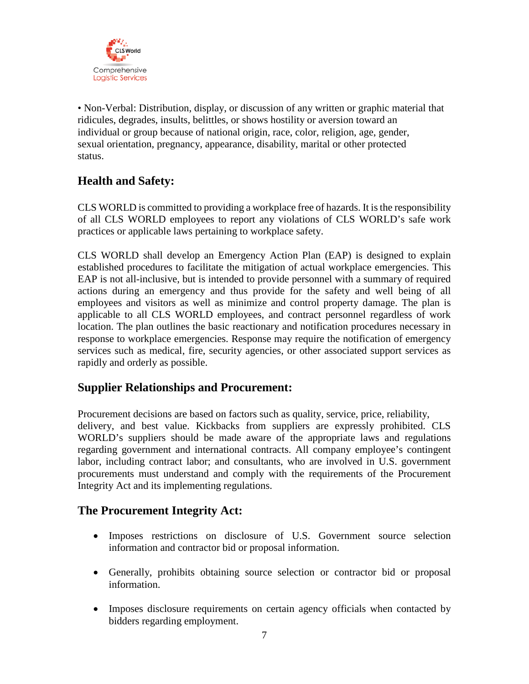

• Non-Verbal: Distribution, display, or discussion of any written or graphic material that ridicules, degrades, insults, belittles, or shows hostility or aversion toward an individual or group because of national origin, race, color, religion, age, gender, sexual orientation, pregnancy, appearance, disability, marital or other protected status.

## **Health and Safety:**

CLS WORLD is committed to providing a workplace free of hazards. It is the responsibility of all CLS WORLD employees to report any violations of CLS WORLD's safe work practices or applicable laws pertaining to workplace safety.

CLS WORLD shall develop an Emergency Action Plan (EAP) is designed to explain established procedures to facilitate the mitigation of actual workplace emergencies. This EAP is not all-inclusive, but is intended to provide personnel with a summary of required actions during an emergency and thus provide for the safety and well being of all employees and visitors as well as minimize and control property damage. The plan is applicable to all CLS WORLD employees, and contract personnel regardless of work location. The plan outlines the basic reactionary and notification procedures necessary in response to workplace emergencies. Response may require the notification of emergency services such as medical, fire, security agencies, or other associated support services as rapidly and orderly as possible.

### **Supplier Relationships and Procurement:**

Procurement decisions are based on factors such as quality, service, price, reliability, delivery, and best value. Kickbacks from suppliers are expressly prohibited. CLS WORLD's suppliers should be made aware of the appropriate laws and regulations regarding government and international contracts. All company employee's contingent labor, including contract labor; and consultants, who are involved in U.S. government procurements must understand and comply with the requirements of the Procurement Integrity Act and its implementing regulations.

### **The Procurement Integrity Act:**

- Imposes restrictions on disclosure of U.S. Government source selection information and contractor bid or proposal information.
- Generally, prohibits obtaining source selection or contractor bid or proposal information.
- Imposes disclosure requirements on certain agency officials when contacted by bidders regarding employment.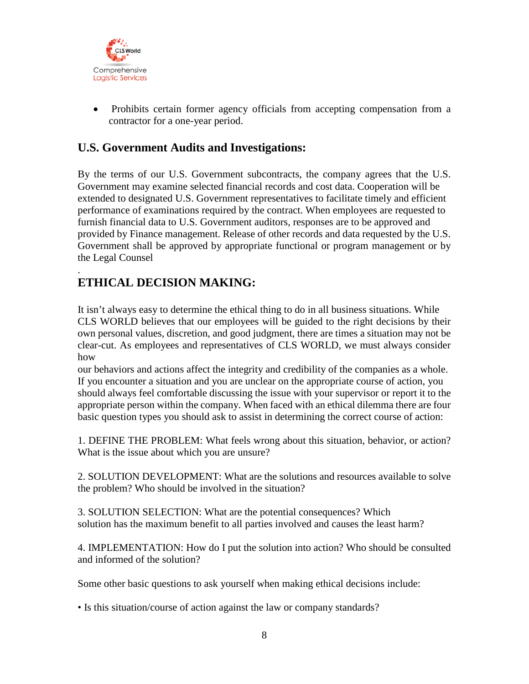

• Prohibits certain former agency officials from accepting compensation from a contractor for a one-year period.

## **U.S. Government Audits and Investigations:**

By the terms of our U.S. Government subcontracts, the company agrees that the U.S. Government may examine selected financial records and cost data. Cooperation will be extended to designated U.S. Government representatives to facilitate timely and efficient performance of examinations required by the contract. When employees are requested to furnish financial data to U.S. Government auditors, responses are to be approved and provided by Finance management. Release of other records and data requested by the U.S. Government shall be approved by appropriate functional or program management or by the Legal Counsel

#### . **ETHICAL DECISION MAKING:**

It isn't always easy to determine the ethical thing to do in all business situations. While CLS WORLD believes that our employees will be guided to the right decisions by their own personal values, discretion, and good judgment, there are times a situation may not be clear-cut. As employees and representatives of CLS WORLD, we must always consider how

our behaviors and actions affect the integrity and credibility of the companies as a whole. If you encounter a situation and you are unclear on the appropriate course of action, you should always feel comfortable discussing the issue with your supervisor or report it to the appropriate person within the company. When faced with an ethical dilemma there are four basic question types you should ask to assist in determining the correct course of action:

1. DEFINE THE PROBLEM: What feels wrong about this situation, behavior, or action? What is the issue about which you are unsure?

2. SOLUTION DEVELOPMENT: What are the solutions and resources available to solve the problem? Who should be involved in the situation?

3. SOLUTION SELECTION: What are the potential consequences? Which solution has the maximum benefit to all parties involved and causes the least harm?

4. IMPLEMENTATION: How do I put the solution into action? Who should be consulted and informed of the solution?

Some other basic questions to ask yourself when making ethical decisions include:

• Is this situation/course of action against the law or company standards?